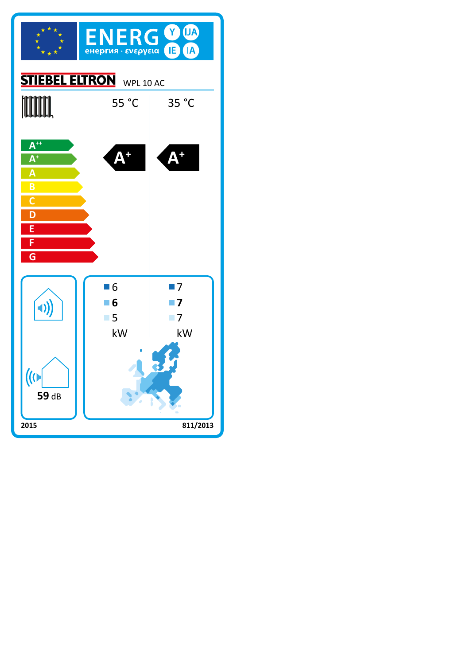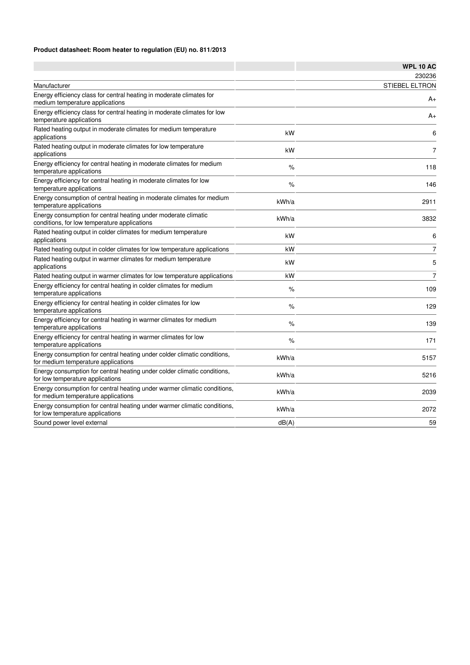## **Product datasheet: Room heater to regulation (EU) no. 811/2013**

|                                                                                                                 |       | <b>WPL 10 AC</b> |
|-----------------------------------------------------------------------------------------------------------------|-------|------------------|
|                                                                                                                 |       | 230236           |
| Manufacturer                                                                                                    |       | STIEBEL ELTRON   |
| Energy efficiency class for central heating in moderate climates for<br>medium temperature applications         |       | $A+$             |
| Energy efficiency class for central heating in moderate climates for low<br>temperature applications            |       | A+               |
| Rated heating output in moderate climates for medium temperature<br>applications                                | kW    | 6                |
| Rated heating output in moderate climates for low temperature<br>applications                                   | kW    | $\overline{7}$   |
| Energy efficiency for central heating in moderate climates for medium<br>temperature applications               | %     | 118              |
| Energy efficiency for central heating in moderate climates for low<br>temperature applications                  | %     | 146              |
| Energy consumption of central heating in moderate climates for medium<br>temperature applications               | kWh/a | 2911             |
| Energy consumption for central heating under moderate climatic<br>conditions, for low temperature applications  | kWh/a | 3832             |
| Rated heating output in colder climates for medium temperature<br>applications                                  | kW    | 6                |
| Rated heating output in colder climates for low temperature applications                                        | kW    | $\overline{7}$   |
| Rated heating output in warmer climates for medium temperature<br>applications                                  | kW    | 5                |
| Rated heating output in warmer climates for low temperature applications                                        | kW    | $\overline{7}$   |
| Energy efficiency for central heating in colder climates for medium<br>temperature applications                 | %     | 109              |
| Energy efficiency for central heating in colder climates for low<br>temperature applications                    | $\%$  | 129              |
| Energy efficiency for central heating in warmer climates for medium<br>temperature applications                 | %     | 139              |
| Energy efficiency for central heating in warmer climates for low<br>temperature applications                    | %     | 171              |
| Energy consumption for central heating under colder climatic conditions,<br>for medium temperature applications | kWh/a | 5157             |
| Energy consumption for central heating under colder climatic conditions,<br>for low temperature applications    | kWh/a | 5216             |
| Energy consumption for central heating under warmer climatic conditions,<br>for medium temperature applications | kWh/a | 2039             |
| Energy consumption for central heating under warmer climatic conditions,<br>for low temperature applications    | kWh/a | 2072             |
| Sound power level external                                                                                      | dB(A) | 59               |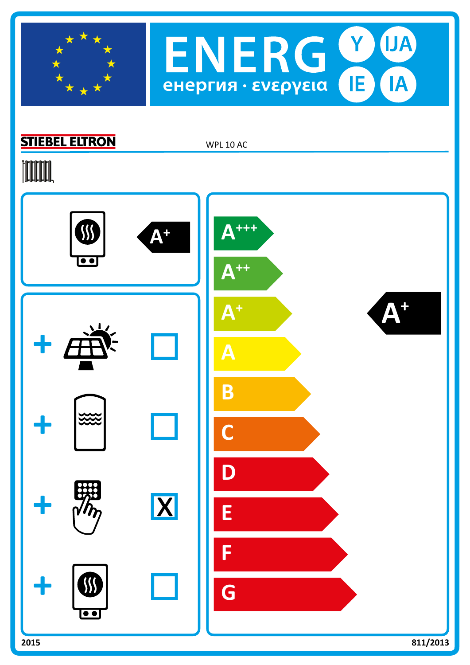



## **STIEBEL ELTRON**

WPL 10 AC

# **TOOTAL**

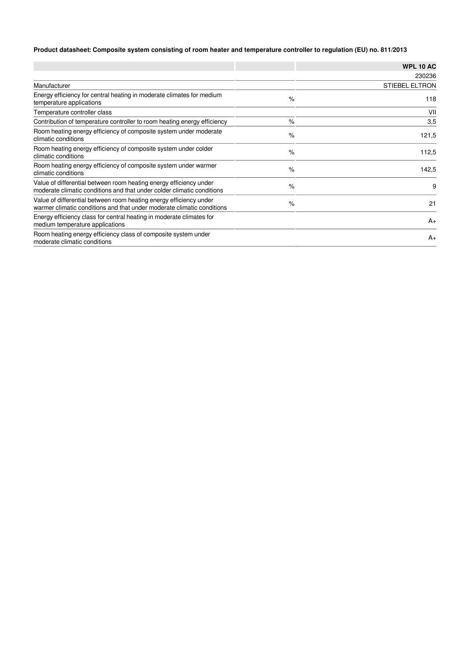## **Product datasheet: Composite system consisting of room heater and temperature controller to regulation (EU) no. 811/2013**

|                                                                                                                                              |      | <b>WPL 10 AC</b>      |
|----------------------------------------------------------------------------------------------------------------------------------------------|------|-----------------------|
|                                                                                                                                              |      | 230236                |
| Manufacturer                                                                                                                                 |      | <b>STIEBEL ELTRON</b> |
| Energy efficiency for central heating in moderate climates for medium<br>temperature applications                                            | $\%$ | 118                   |
| Temperature controller class                                                                                                                 |      | VII                   |
| Contribution of temperature controller to room heating energy efficiency                                                                     | $\%$ | 3,5                   |
| Room heating energy efficiency of composite system under moderate<br>climatic conditions                                                     | $\%$ | 121,5                 |
| Room heating energy efficiency of composite system under colder<br>climatic conditions                                                       | $\%$ | 112,5                 |
| Room heating energy efficiency of composite system under warmer<br>climatic conditions                                                       | $\%$ | 142,5                 |
| Value of differential between room heating energy efficiency under<br>moderate climatic conditions and that under colder climatic conditions | $\%$ | 9                     |
| Value of differential between room heating energy efficiency under<br>warmer climatic conditions and that under moderate climatic conditions | $\%$ | 21                    |
| Energy efficiency class for central heating in moderate climates for<br>medium temperature applications                                      |      | $A_{+}$               |
| Room heating energy efficiency class of composite system under<br>moderate climatic conditions                                               |      | $A_{+}$               |